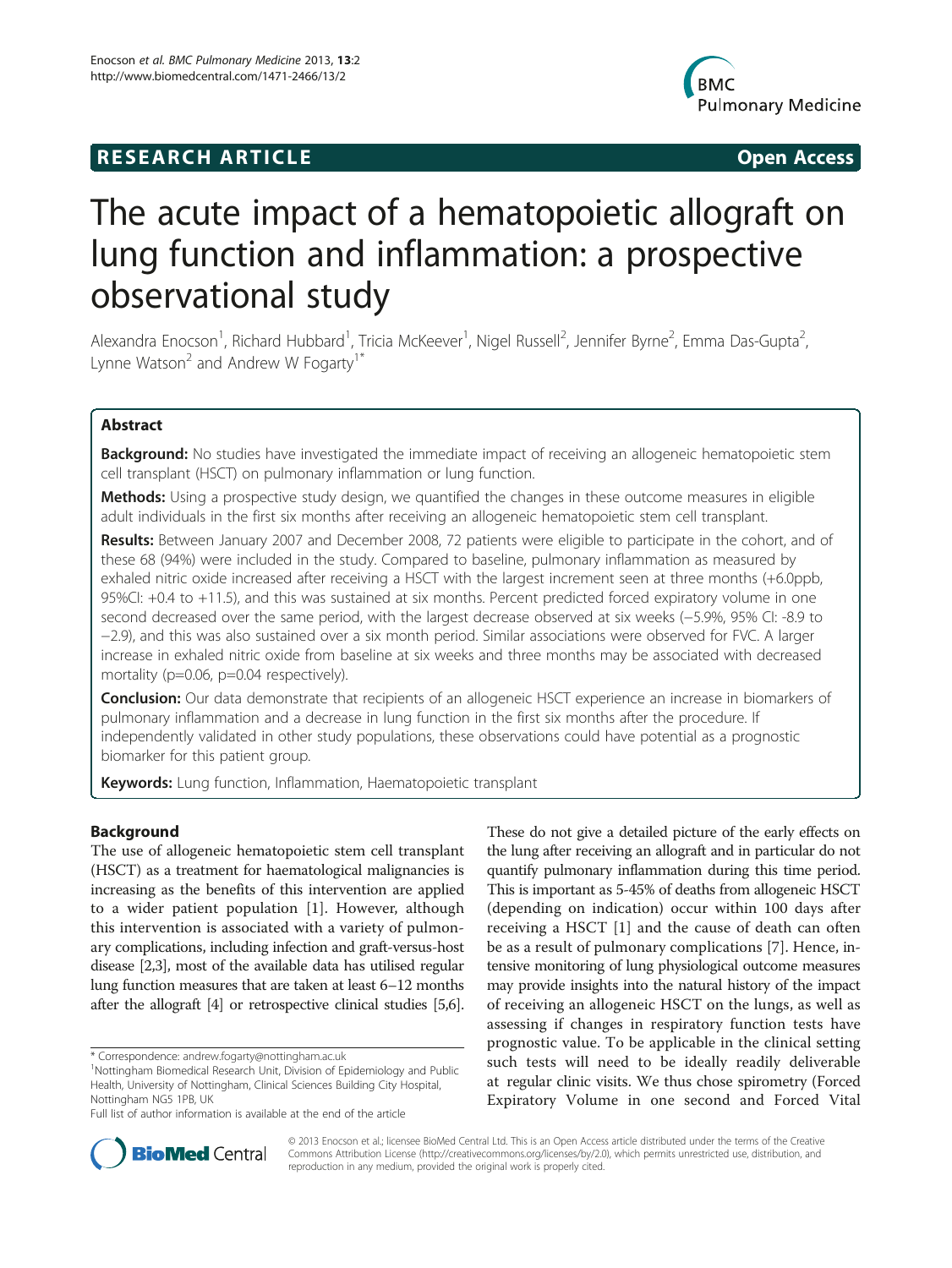## **RESEARCH ARTICLE Example 2018 12:00 Open Access**



# The acute impact of a hematopoietic allograft on lung function and inflammation: a prospective observational study

Alexandra Enocson<sup>1</sup>, Richard Hubbard<sup>1</sup>, Tricia McKeever<sup>1</sup>, Nigel Russell<sup>2</sup>, Jennifer Byrne<sup>2</sup>, Emma Das-Gupta<sup>2</sup> , Lynne Watson $^2$  and Andrew W Fogarty<sup>1\*</sup>

## Abstract

Background: No studies have investigated the immediate impact of receiving an allogeneic hematopoietic stem cell transplant (HSCT) on pulmonary inflammation or lung function.

**Methods:** Using a prospective study design, we quantified the changes in these outcome measures in eligible adult individuals in the first six months after receiving an allogeneic hematopoietic stem cell transplant.

Results: Between January 2007 and December 2008, 72 patients were eligible to participate in the cohort, and of these 68 (94%) were included in the study. Compared to baseline, pulmonary inflammation as measured by exhaled nitric oxide increased after receiving a HSCT with the largest increment seen at three months (+6.0ppb, 95%CI: +0.4 to +11.5), and this was sustained at six months. Percent predicted forced expiratory volume in one second decreased over the same period, with the largest decrease observed at six weeks (−5.9%, 95% CI: -8.9 to −2.9), and this was also sustained over a six month period. Similar associations were observed for FVC. A larger increase in exhaled nitric oxide from baseline at six weeks and three months may be associated with decreased mortality (p=0.06, p=0.04 respectively).

Conclusion: Our data demonstrate that recipients of an allogeneic HSCT experience an increase in biomarkers of pulmonary inflammation and a decrease in lung function in the first six months after the procedure. If independently validated in other study populations, these observations could have potential as a prognostic biomarker for this patient group.

Keywords: Lung function, Inflammation, Haematopoietic transplant

## Background

The use of allogeneic hematopoietic stem cell transplant (HSCT) as a treatment for haematological malignancies is increasing as the benefits of this intervention are applied to a wider patient population [[1\]](#page-4-0). However, although this intervention is associated with a variety of pulmonary complications, including infection and graft-versus-host disease [\[2,3\]](#page-4-0), most of the available data has utilised regular lung function measures that are taken at least 6–12 months after the allograft [\[4\]](#page-4-0) or retrospective clinical studies [\[5,6](#page-4-0)].

These do not give a detailed picture of the early effects on the lung after receiving an allograft and in particular do not quantify pulmonary inflammation during this time period. This is important as 5-45% of deaths from allogeneic HSCT (depending on indication) occur within 100 days after receiving a HSCT [[1](#page-4-0)] and the cause of death can often be as a result of pulmonary complications [[7](#page-4-0)]. Hence, intensive monitoring of lung physiological outcome measures may provide insights into the natural history of the impact of receiving an allogeneic HSCT on the lungs, as well as assessing if changes in respiratory function tests have prognostic value. To be applicable in the clinical setting such tests will need to be ideally readily deliverable at regular clinic visits. We thus chose spirometry (Forced Expiratory Volume in one second and Forced Vital



© 2013 Enocson et al.; licensee BioMed Central Ltd. This is an Open Access article distributed under the terms of the Creative Commons Attribution License [\(http://creativecommons.org/licenses/by/2.0\)](http://creativecommons.org/licenses/by/2.0), which permits unrestricted use, distribution, and reproduction in any medium, provided the original work is properly cited.

<sup>\*</sup> Correspondence: [andrew.fogarty@nottingham.ac.uk](mailto:andrew.fogarty@nottingham.ac.uk) <sup>1</sup>

<sup>&</sup>lt;sup>1</sup>Nottingham Biomedical Research Unit, Division of Epidemiology and Public Health, University of Nottingham, Clinical Sciences Building City Hospital, Nottingham NG5 1PB, UK

Full list of author information is available at the end of the article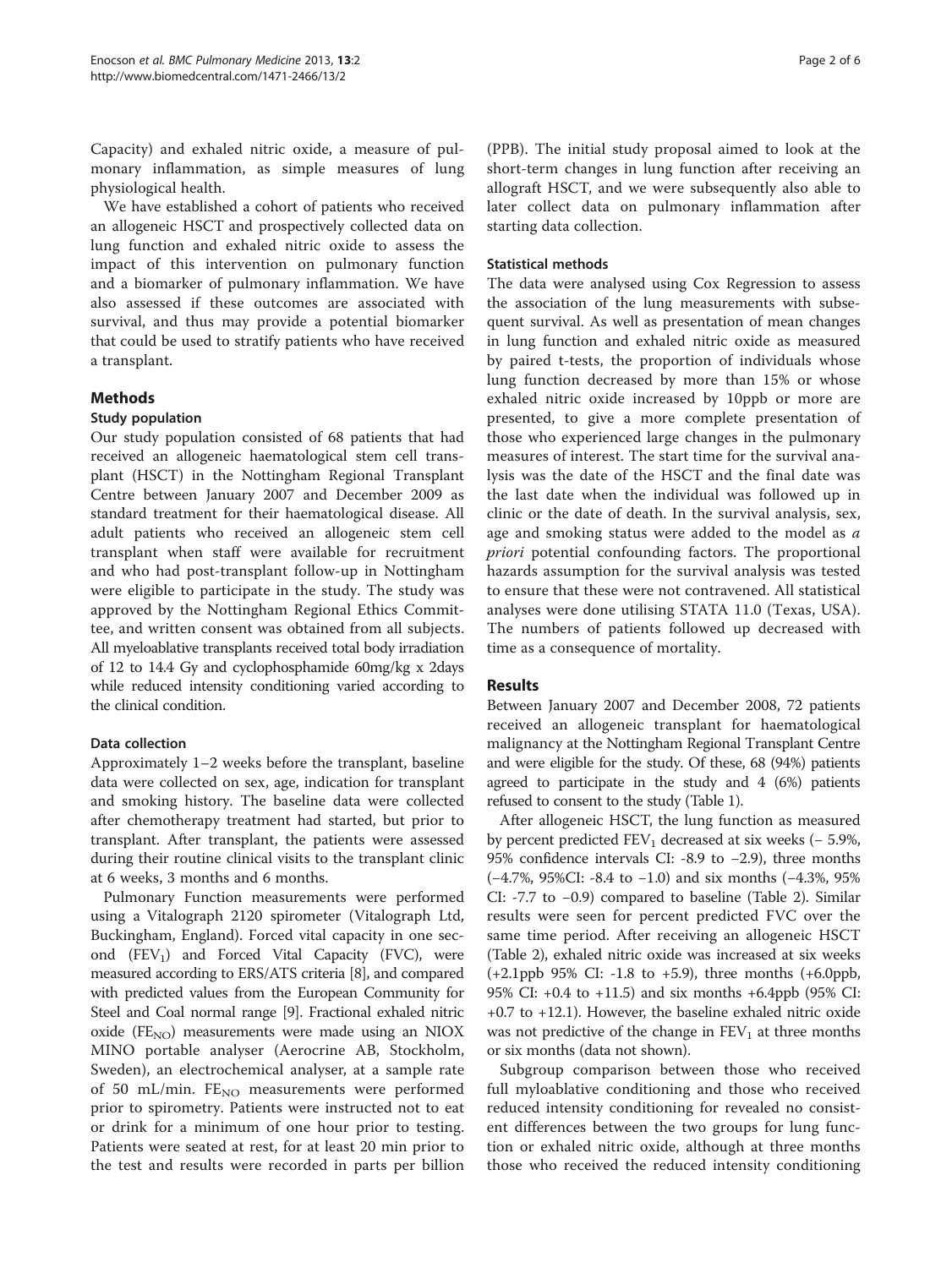Capacity) and exhaled nitric oxide, a measure of pulmonary inflammation, as simple measures of lung physiological health.

We have established a cohort of patients who received an allogeneic HSCT and prospectively collected data on lung function and exhaled nitric oxide to assess the impact of this intervention on pulmonary function and a biomarker of pulmonary inflammation. We have also assessed if these outcomes are associated with survival, and thus may provide a potential biomarker that could be used to stratify patients who have received a transplant.

## Methods

## Study population

Our study population consisted of 68 patients that had received an allogeneic haematological stem cell transplant (HSCT) in the Nottingham Regional Transplant Centre between January 2007 and December 2009 as standard treatment for their haematological disease. All adult patients who received an allogeneic stem cell transplant when staff were available for recruitment and who had post-transplant follow-up in Nottingham were eligible to participate in the study. The study was approved by the Nottingham Regional Ethics Committee, and written consent was obtained from all subjects. All myeloablative transplants received total body irradiation of 12 to 14.4 Gy and cyclophosphamide 60mg/kg x 2days while reduced intensity conditioning varied according to the clinical condition.

## Data collection

Approximately 1–2 weeks before the transplant, baseline data were collected on sex, age, indication for transplant and smoking history. The baseline data were collected after chemotherapy treatment had started, but prior to transplant. After transplant, the patients were assessed during their routine clinical visits to the transplant clinic at 6 weeks, 3 months and 6 months.

Pulmonary Function measurements were performed using a Vitalograph 2120 spirometer (Vitalograph Ltd, Buckingham, England). Forced vital capacity in one second  $(FEV_1)$  and Forced Vital Capacity (FVC), were measured according to ERS/ATS criteria [[8](#page-4-0)], and compared with predicted values from the European Community for Steel and Coal normal range [[9](#page-4-0)]. Fractional exhaled nitric oxide (FE $_{NO}$ ) measurements were made using an NIOX MINO portable analyser (Aerocrine AB, Stockholm, Sweden), an electrochemical analyser, at a sample rate of 50 mL/min.  $FE_{NO}$  measurements were performed prior to spirometry. Patients were instructed not to eat or drink for a minimum of one hour prior to testing. Patients were seated at rest, for at least 20 min prior to the test and results were recorded in parts per billion

(PPB). The initial study proposal aimed to look at the short-term changes in lung function after receiving an allograft HSCT, and we were subsequently also able to later collect data on pulmonary inflammation after starting data collection.

## Statistical methods

The data were analysed using Cox Regression to assess the association of the lung measurements with subsequent survival. As well as presentation of mean changes in lung function and exhaled nitric oxide as measured by paired t-tests, the proportion of individuals whose lung function decreased by more than 15% or whose exhaled nitric oxide increased by 10ppb or more are presented, to give a more complete presentation of those who experienced large changes in the pulmonary measures of interest. The start time for the survival analysis was the date of the HSCT and the final date was the last date when the individual was followed up in clinic or the date of death. In the survival analysis, sex, age and smoking status were added to the model as a priori potential confounding factors. The proportional hazards assumption for the survival analysis was tested to ensure that these were not contravened. All statistical analyses were done utilising STATA 11.0 (Texas, USA). The numbers of patients followed up decreased with time as a consequence of mortality.

## Results

Between January 2007 and December 2008, 72 patients received an allogeneic transplant for haematological malignancy at the Nottingham Regional Transplant Centre and were eligible for the study. Of these, 68 (94%) patients agreed to participate in the study and 4 (6%) patients refused to consent to the study (Table [1](#page-2-0)).

After allogeneic HSCT, the lung function as measured by percent predicted  $FEV_1$  decreased at six weeks (– 5.9%, 95% confidence intervals CI: -8.9 to −2.9), three months (−4.7%, 95%CI: -8.4 to −1.0) and six months (−4.3%, 95% CI: -7.7 to −0.9) compared to baseline (Table [2](#page-3-0)). Similar results were seen for percent predicted FVC over the same time period. After receiving an allogeneic HSCT (Table [2\)](#page-3-0), exhaled nitric oxide was increased at six weeks (+2.1ppb 95% CI: -1.8 to +5.9), three months (+6.0ppb, 95% CI: +0.4 to +11.5) and six months +6.4ppb (95% CI: +0.7 to +12.1). However, the baseline exhaled nitric oxide was not predictive of the change in  $FEV<sub>1</sub>$  at three months or six months (data not shown).

Subgroup comparison between those who received full myloablative conditioning and those who received reduced intensity conditioning for revealed no consistent differences between the two groups for lung function or exhaled nitric oxide, although at three months those who received the reduced intensity conditioning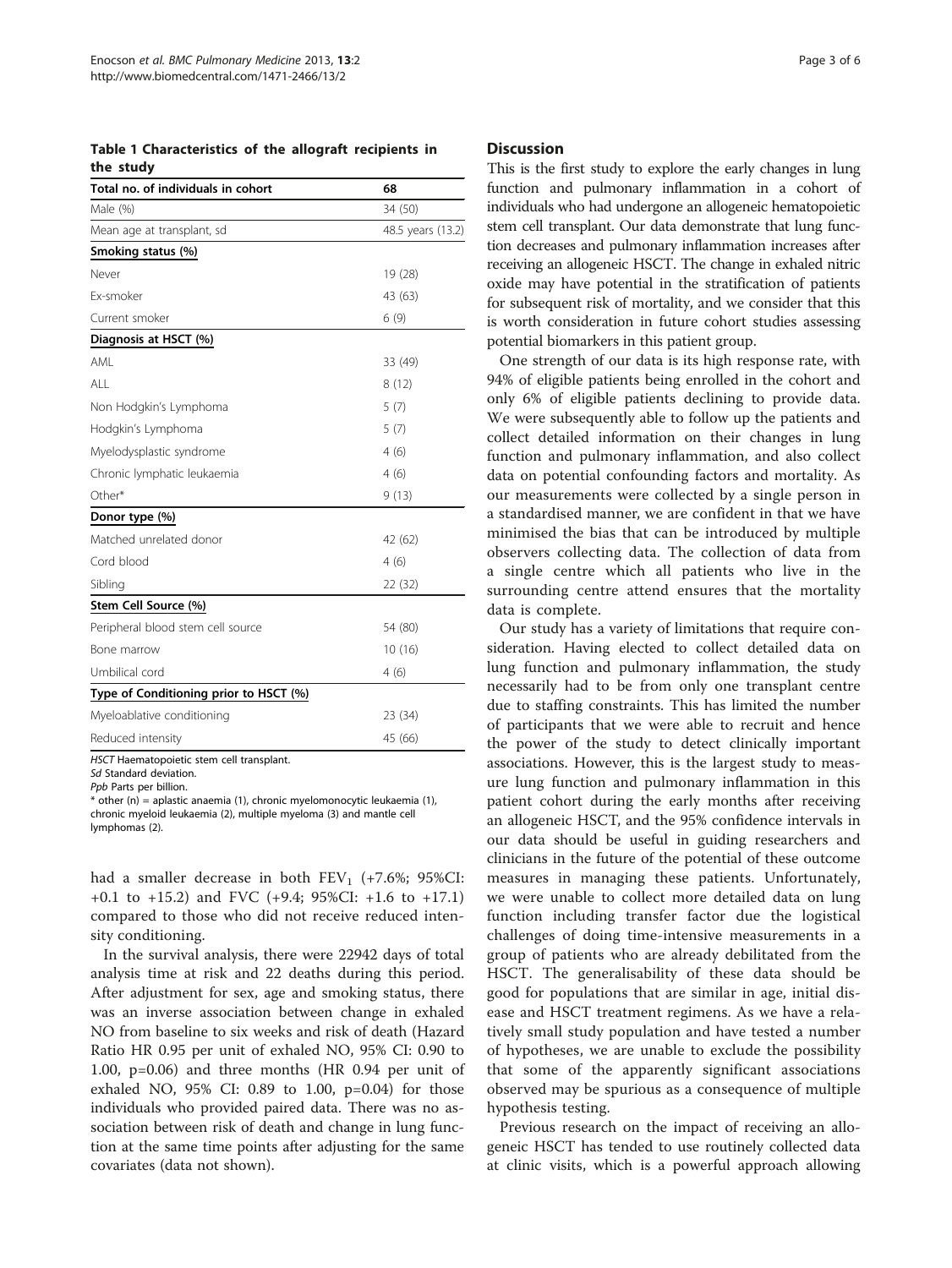<span id="page-2-0"></span>Table 1 Characteristics of the allograft recipients in the study

| Total no. of individuals in cohort     | 68                |
|----------------------------------------|-------------------|
| Male (%)                               | 34 (50)           |
| Mean age at transplant, sd             | 48.5 years (13.2) |
| Smoking status (%)                     |                   |
| Never                                  | 19 (28)           |
| Ex-smoker                              | 43 (63)           |
| Current smoker                         | 6(9)              |
| Diagnosis at HSCT (%)                  |                   |
| AMI                                    | 33 (49)           |
| ALL                                    | 8(12)             |
| Non Hodgkin's Lymphoma                 | 5(7)              |
| Hodgkin's Lymphoma                     | 5(7)              |
| Myelodysplastic syndrome               | 4(6)              |
| Chronic lymphatic leukaemia            | 4(6)              |
| Other*                                 | 9(13)             |
| Donor type (%)                         |                   |
| Matched unrelated donor                | 42 (62)           |
| Cord blood                             | 4(6)              |
| Sibling                                | 22 (32)           |
| Stem Cell Source (%)                   |                   |
| Peripheral blood stem cell source      | 54 (80)           |
| Bone marrow                            | 10(16)            |
| Umbilical cord                         | 4(6)              |
| Type of Conditioning prior to HSCT (%) |                   |
| Myeloablative conditioning             | 23 (34)           |
| Reduced intensity                      | 45 (66)           |

HSCT Haematopoietic stem cell transplant.

Sd Standard deviation.

Ppb Parts per billion.

\* other (n) = aplastic anaemia (1), chronic myelomonocytic leukaemia (1), chronic myeloid leukaemia (2), multiple myeloma (3) and mantle cell lymphomas (2).

had a smaller decrease in both  $FEV_1$  (+7.6%; 95%CI: +0.1 to +15.2) and FVC (+9.4; 95%CI: +1.6 to +17.1) compared to those who did not receive reduced intensity conditioning.

In the survival analysis, there were 22942 days of total analysis time at risk and 22 deaths during this period. After adjustment for sex, age and smoking status, there was an inverse association between change in exhaled NO from baseline to six weeks and risk of death (Hazard Ratio HR 0.95 per unit of exhaled NO, 95% CI: 0.90 to 1.00, p=0.06) and three months (HR 0.94 per unit of exhaled NO, 95% CI: 0.89 to 1.00, p=0.04) for those individuals who provided paired data. There was no association between risk of death and change in lung function at the same time points after adjusting for the same covariates (data not shown).

#### **Discussion**

This is the first study to explore the early changes in lung function and pulmonary inflammation in a cohort of individuals who had undergone an allogeneic hematopoietic stem cell transplant. Our data demonstrate that lung function decreases and pulmonary inflammation increases after receiving an allogeneic HSCT. The change in exhaled nitric oxide may have potential in the stratification of patients for subsequent risk of mortality, and we consider that this is worth consideration in future cohort studies assessing potential biomarkers in this patient group.

One strength of our data is its high response rate, with 94% of eligible patients being enrolled in the cohort and only 6% of eligible patients declining to provide data. We were subsequently able to follow up the patients and collect detailed information on their changes in lung function and pulmonary inflammation, and also collect data on potential confounding factors and mortality. As our measurements were collected by a single person in a standardised manner, we are confident in that we have minimised the bias that can be introduced by multiple observers collecting data. The collection of data from a single centre which all patients who live in the surrounding centre attend ensures that the mortality data is complete.

Our study has a variety of limitations that require consideration. Having elected to collect detailed data on lung function and pulmonary inflammation, the study necessarily had to be from only one transplant centre due to staffing constraints. This has limited the number of participants that we were able to recruit and hence the power of the study to detect clinically important associations. However, this is the largest study to measure lung function and pulmonary inflammation in this patient cohort during the early months after receiving an allogeneic HSCT, and the 95% confidence intervals in our data should be useful in guiding researchers and clinicians in the future of the potential of these outcome measures in managing these patients. Unfortunately, we were unable to collect more detailed data on lung function including transfer factor due the logistical challenges of doing time-intensive measurements in a group of patients who are already debilitated from the HSCT. The generalisability of these data should be good for populations that are similar in age, initial disease and HSCT treatment regimens. As we have a relatively small study population and have tested a number of hypotheses, we are unable to exclude the possibility that some of the apparently significant associations observed may be spurious as a consequence of multiple hypothesis testing.

Previous research on the impact of receiving an allogeneic HSCT has tended to use routinely collected data at clinic visits, which is a powerful approach allowing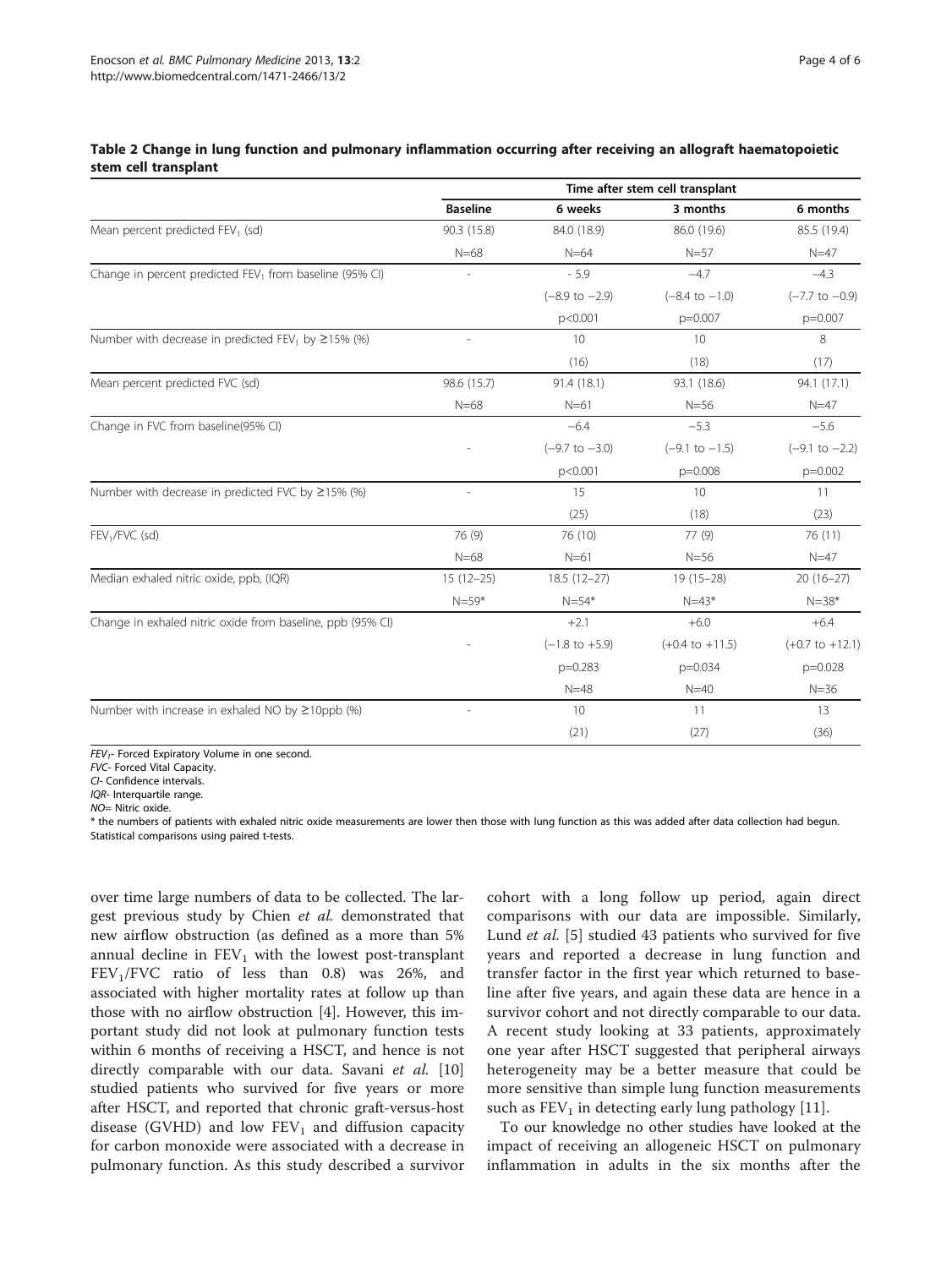|                                                                      |                 | Time after stem cell transplant |                            |                            |  |
|----------------------------------------------------------------------|-----------------|---------------------------------|----------------------------|----------------------------|--|
|                                                                      | <b>Baseline</b> | 6 weeks                         | 3 months                   | 6 months                   |  |
| Mean percent predicted FEV <sub>1</sub> (sd)                         | 90.3 (15.8)     | 84.0 (18.9)                     | 86.0 (19.6)                | 85.5 (19.4)                |  |
|                                                                      | $N = 68$        | $N=64$                          | $N=57$                     | $N=47$                     |  |
| Change in percent predicted FEV <sub>1</sub> from baseline (95% CI)  |                 | $-5.9$                          | $-4.7$                     | $-4.3$                     |  |
|                                                                      |                 | $(-8.9 \text{ to } -2.9)$       | $(-8.4 \text{ to } -1.0)$  | $(-7.7 \text{ to } -0.9)$  |  |
|                                                                      |                 | p<0.001                         | p=0.007                    | p=0.007                    |  |
| Number with decrease in predicted FEV <sub>1</sub> by $\geq$ 15% (%) |                 | 10                              | 10                         | 8                          |  |
|                                                                      |                 | (16)                            | (18)                       | (17)                       |  |
| Mean percent predicted FVC (sd)                                      | 98.6 (15.7)     | 91.4 (18.1)                     | 93.1 (18.6)                | 94.1 (17.1)                |  |
|                                                                      | $N = 68$        | $N=61$                          | $N=56$                     | $N=47$                     |  |
| Change in FVC from baseline(95% CI)                                  |                 | $-6.4$                          | $-5.3$                     | $-5.6$                     |  |
|                                                                      |                 | $(-9.7 \text{ to } -3.0)$       | $(-9.1 \text{ to } -1.5)$  | $(-9.1 \text{ to } -2.2)$  |  |
|                                                                      |                 | p<0.001                         | p=0.008                    | $p=0.002$                  |  |
| Number with decrease in predicted FVC by ≥15% (%)                    |                 | 15                              | 10                         | 11                         |  |
|                                                                      |                 | (25)                            | (18)                       | (23)                       |  |
| FEV <sub>1</sub> /FVC (sd)                                           | 76 (9)          | 76 (10)                         | 77 (9)                     | 76 (11)                    |  |
|                                                                      | $N = 68$        | $N=61$                          | $N=56$                     | $N=47$                     |  |
| Median exhaled nitric oxide, ppb, (IQR)                              | $15(12-25)$     | $18.5(12-27)$                   | $19(15-28)$                | $20(16-27)$                |  |
|                                                                      | $N = 59*$       | $N = 54*$                       | $N = 43*$                  | $N = 38*$                  |  |
| Change in exhaled nitric oxide from baseline, ppb (95% CI)           |                 | $+2.1$                          | $+6.0$                     | $+6.4$                     |  |
|                                                                      |                 | $(-1.8 \text{ to } +5.9)$       | $(+0.4 \text{ to } +11.5)$ | $(+0.7 \text{ to } +12.1)$ |  |
|                                                                      |                 | $p=0.283$                       | $p=0.034$                  | $p=0.028$                  |  |
|                                                                      |                 | $N=48$                          | $N=40$                     | $N = 36$                   |  |
| Number with increase in exhaled NO by ≥10ppb (%)                     |                 | 10                              | 11                         | 13                         |  |
|                                                                      |                 | (21)                            | (27)                       | (36)                       |  |

## <span id="page-3-0"></span>Table 2 Change in lung function and pulmonary inflammation occurring after receiving an allograft haematopoietic stem cell transplant

FEV<sub>1</sub>- Forced Expiratory Volume in one second.

FVC- Forced Vital Capacity.

CI- Confidence intervals.

\* the numbers of patients with exhaled nitric oxide measurements are lower then those with lung function as this was added after data collection had begun. Statistical comparisons using paired t-tests.

over time large numbers of data to be collected. The largest previous study by Chien et al. demonstrated that new airflow obstruction (as defined as a more than 5% annual decline in  $FEV<sub>1</sub>$  with the lowest post-transplant  $FEV<sub>1</sub>/FVC$  ratio of less than 0.8) was 26%, and associated with higher mortality rates at follow up than those with no airflow obstruction [[4](#page-4-0)]. However, this important study did not look at pulmonary function tests within 6 months of receiving a HSCT, and hence is not directly comparable with our data. Savani et al. [[10](#page-4-0)] studied patients who survived for five years or more after HSCT, and reported that chronic graft-versus-host disease (GVHD) and low  $FEV_1$  and diffusion capacity for carbon monoxide were associated with a decrease in pulmonary function. As this study described a survivor

cohort with a long follow up period, again direct comparisons with our data are impossible. Similarly, Lund et al. [[5\]](#page-4-0) studied 43 patients who survived for five years and reported a decrease in lung function and transfer factor in the first year which returned to baseline after five years, and again these data are hence in a survivor cohort and not directly comparable to our data. A recent study looking at 33 patients, approximately one year after HSCT suggested that peripheral airways heterogeneity may be a better measure that could be more sensitive than simple lung function measurements such as  $FEV<sub>1</sub>$  in detecting early lung pathology [[11\]](#page-4-0).

To our knowledge no other studies have looked at the impact of receiving an allogeneic HSCT on pulmonary inflammation in adults in the six months after the

IQR- Interquartile range. NO= Nitric oxide.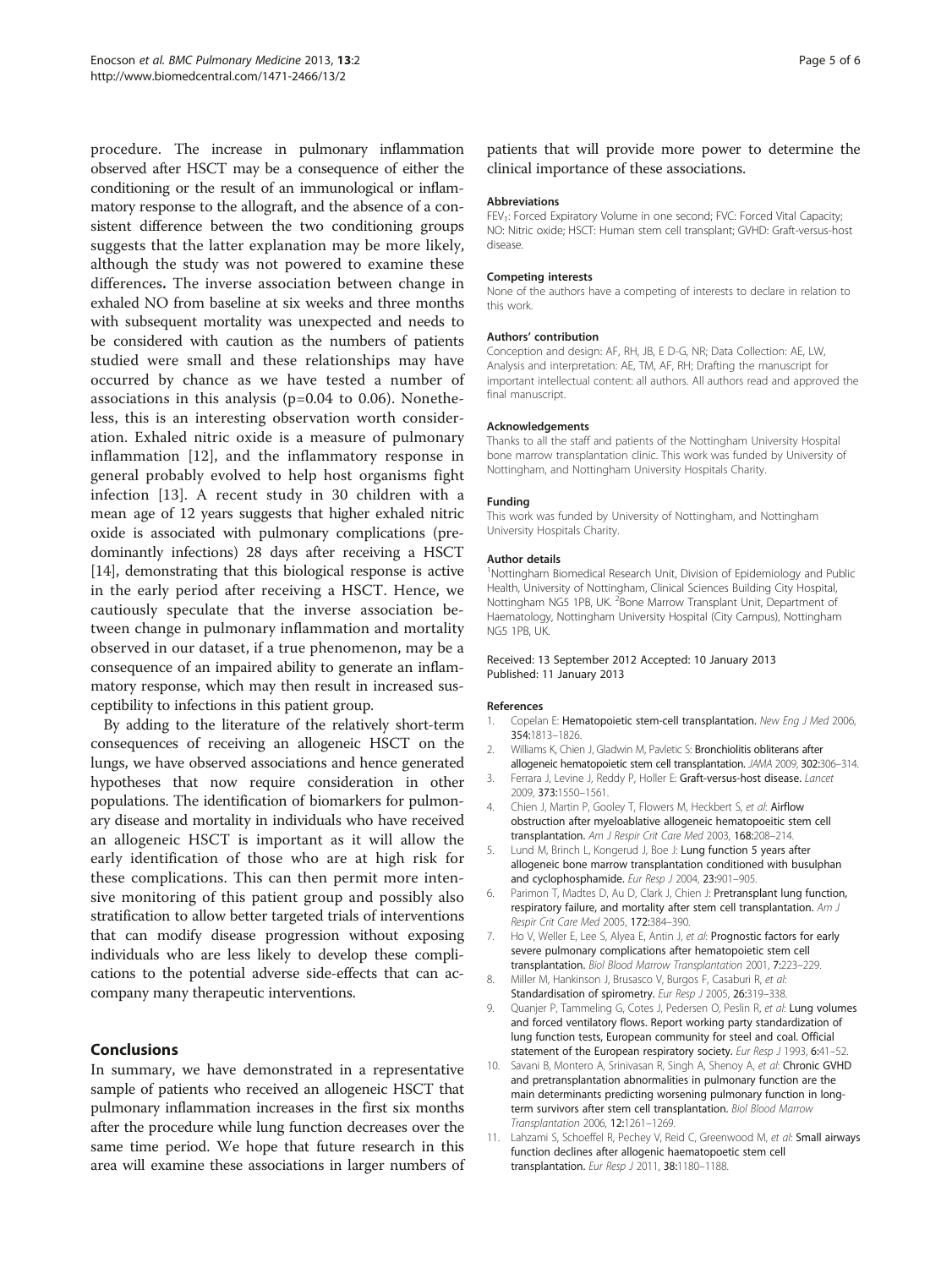<span id="page-4-0"></span>procedure. The increase in pulmonary inflammation observed after HSCT may be a consequence of either the conditioning or the result of an immunological or inflammatory response to the allograft, and the absence of a consistent difference between the two conditioning groups suggests that the latter explanation may be more likely, although the study was not powered to examine these differences. The inverse association between change in exhaled NO from baseline at six weeks and three months with subsequent mortality was unexpected and needs to be considered with caution as the numbers of patients studied were small and these relationships may have occurred by chance as we have tested a number of associations in this analysis (p=0.04 to 0.06). Nonetheless, this is an interesting observation worth consideration. Exhaled nitric oxide is a measure of pulmonary inflammation [[12\]](#page-5-0), and the inflammatory response in general probably evolved to help host organisms fight infection [[13](#page-5-0)]. A recent study in 30 children with a mean age of 12 years suggests that higher exhaled nitric oxide is associated with pulmonary complications (predominantly infections) 28 days after receiving a HSCT [[14](#page-5-0)], demonstrating that this biological response is active in the early period after receiving a HSCT. Hence, we cautiously speculate that the inverse association between change in pulmonary inflammation and mortality observed in our dataset, if a true phenomenon, may be a consequence of an impaired ability to generate an inflammatory response, which may then result in increased susceptibility to infections in this patient group.

By adding to the literature of the relatively short-term consequences of receiving an allogeneic HSCT on the lungs, we have observed associations and hence generated hypotheses that now require consideration in other populations. The identification of biomarkers for pulmonary disease and mortality in individuals who have received an allogeneic HSCT is important as it will allow the early identification of those who are at high risk for these complications. This can then permit more intensive monitoring of this patient group and possibly also stratification to allow better targeted trials of interventions that can modify disease progression without exposing individuals who are less likely to develop these complications to the potential adverse side-effects that can accompany many therapeutic interventions.

## Conclusions

In summary, we have demonstrated in a representative sample of patients who received an allogeneic HSCT that pulmonary inflammation increases in the first six months after the procedure while lung function decreases over the same time period. We hope that future research in this area will examine these associations in larger numbers of patients that will provide more power to determine the clinical importance of these associations.

#### Abbreviations

FEV<sub>1</sub>: Forced Expiratory Volume in one second; FVC: Forced Vital Capacity; NO: Nitric oxide; HSCT: Human stem cell transplant; GVHD: Graft-versus-host disease.

#### Competing interests

None of the authors have a competing of interests to declare in relation to this work.

#### Authors' contribution

Conception and design: AF, RH, JB, E D-G, NR; Data Collection: AE, LW, Analysis and interpretation: AE, TM, AF, RH; Drafting the manuscript for important intellectual content: all authors. All authors read and approved the final manuscript.

#### Acknowledgements

Thanks to all the staff and patients of the Nottingham University Hospital bone marrow transplantation clinic. This work was funded by University of Nottingham, and Nottingham University Hospitals Charity.

#### Funding

This work was funded by University of Nottingham, and Nottingham University Hospitals Charity.

#### Author details

<sup>1</sup>Nottingham Biomedical Research Unit, Division of Epidemiology and Public Health, University of Nottingham, Clinical Sciences Building City Hospital, Nottingham NG5 1PB, UK. <sup>2</sup> Bone Marrow Transplant Unit, Department of Haematology, Nottingham University Hospital (City Campus), Nottingham NG5 1PB, UK.

#### Received: 13 September 2012 Accepted: 10 January 2013 Published: 11 January 2013

#### References

- 1. Copelan E: Hematopoietic stem-cell transplantation. New Eng J Med 2006, 354:1813–1826.
- 2. Williams K, Chien J, Gladwin M, Pavletic S: Bronchiolitis obliterans after allogeneic hematopoietic stem cell transplantation. JAMA 2009, 302:306–314.
- 3. Ferrara J, Levine J, Reddy P, Holler E: Graft-versus-host disease. Lancet 2009, 373:1550–1561.
- 4. Chien J, Martin P, Gooley T, Flowers M, Heckbert S, et al: Airflow obstruction after myeloablative allogeneic hematopoeitic stem cell transplantation. Am J Respir Crit Care Med 2003, 168:208-214.
- 5. Lund M, Brinch L, Kongerud J, Boe J: Lung function 5 years after allogeneic bone marrow transplantation conditioned with busulphan and cyclophosphamide. Eur Resp J 2004, 23:901-905.
- 6. Parimon T, Madtes D, Au D, Clark J, Chien J: Pretransplant lung function, respiratory failure, and mortality after stem cell transplantation. Am J Respir Crit Care Med 2005, 172:384–390.
- 7. Ho V, Weller E, Lee S, Alyea E, Antin J, et al: Prognostic factors for early severe pulmonary complications after hematopoietic stem cell transplantation. Biol Blood Marrow Transplantation 2001, 7:223–229.
- 8. Miller M, Hankinson J, Brusasco V, Burgos F, Casaburi R, et al: Standardisation of spirometry. Eur Resp J 2005, 26:319-338.
- 9. Quanjer P, Tammeling G, Cotes J, Pedersen O, Peslin R, et al: Lung volumes and forced ventilatory flows. Report working party standardization of lung function tests, European community for steel and coal. Official statement of the European respiratory society. Eur Resp J 1993, 6:41-52
- 10. Savani B, Montero A, Srinivasan R, Singh A, Shenoy A, et al: Chronic GVHD and pretransplantation abnormalities in pulmonary function are the main determinants predicting worsening pulmonary function in longterm survivors after stem cell transplantation. Biol Blood Marrow Transplantation 2006, 12:1261–1269.
- 11. Lahzami S, Schoeffel R, Pechey V, Reid C, Greenwood M, et al: Small airways function declines after allogenic haematopoetic stem cell transplantation. Eur Resp J 2011, 38:1180-1188.